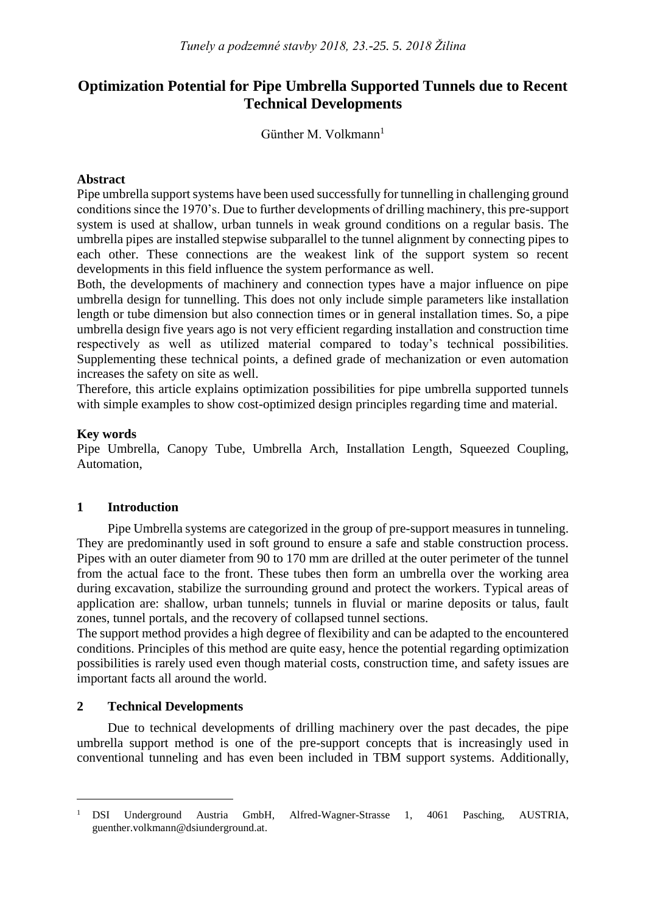# **Optimization Potential for Pipe Umbrella Supported Tunnels due to Recent Technical Developments**

Günther M. Volkmann<sup>1</sup>

### **Abstract**

Pipe umbrella support systems have been used successfully for tunnelling in challenging ground conditions since the 1970's. Due to further developments of drilling machinery, this pre-support system is used at shallow, urban tunnels in weak ground conditions on a regular basis. The umbrella pipes are installed stepwise subparallel to the tunnel alignment by connecting pipes to each other. These connections are the weakest link of the support system so recent developments in this field influence the system performance as well.

Both, the developments of machinery and connection types have a major influence on pipe umbrella design for tunnelling. This does not only include simple parameters like installation length or tube dimension but also connection times or in general installation times. So, a pipe umbrella design five years ago is not very efficient regarding installation and construction time respectively as well as utilized material compared to today's technical possibilities. Supplementing these technical points, a defined grade of mechanization or even automation increases the safety on site as well.

Therefore, this article explains optimization possibilities for pipe umbrella supported tunnels with simple examples to show cost-optimized design principles regarding time and material.

### **Key words**

Pipe Umbrella, Canopy Tube, Umbrella Arch, Installation Length, Squeezed Coupling, Automation,

# **1 Introduction**

Pipe Umbrella systems are categorized in the group of pre-support measures in tunneling. They are predominantly used in soft ground to ensure a safe and stable construction process. Pipes with an outer diameter from 90 to 170 mm are drilled at the outer perimeter of the tunnel from the actual face to the front. These tubes then form an umbrella over the working area during excavation, stabilize the surrounding ground and protect the workers. Typical areas of application are: shallow, urban tunnels; tunnels in fluvial or marine deposits or talus, fault zones, tunnel portals, and the recovery of collapsed tunnel sections.

The support method provides a high degree of flexibility and can be adapted to the encountered conditions. Principles of this method are quite easy, hence the potential regarding optimization possibilities is rarely used even though material costs, construction time, and safety issues are important facts all around the world.

#### **2 Technical Developments**

 $\overline{a}$ 

Due to technical developments of drilling machinery over the past decades, the pipe umbrella support method is one of the pre-support concepts that is increasingly used in conventional tunneling and has even been included in TBM support systems. Additionally,

<sup>&</sup>lt;sup>1</sup> DSI Underground Austria GmbH, Alfred-Wagner-Strasse 1, 4061 Pasching, AUSTRIA, guenther.volkmann@dsiunderground.at.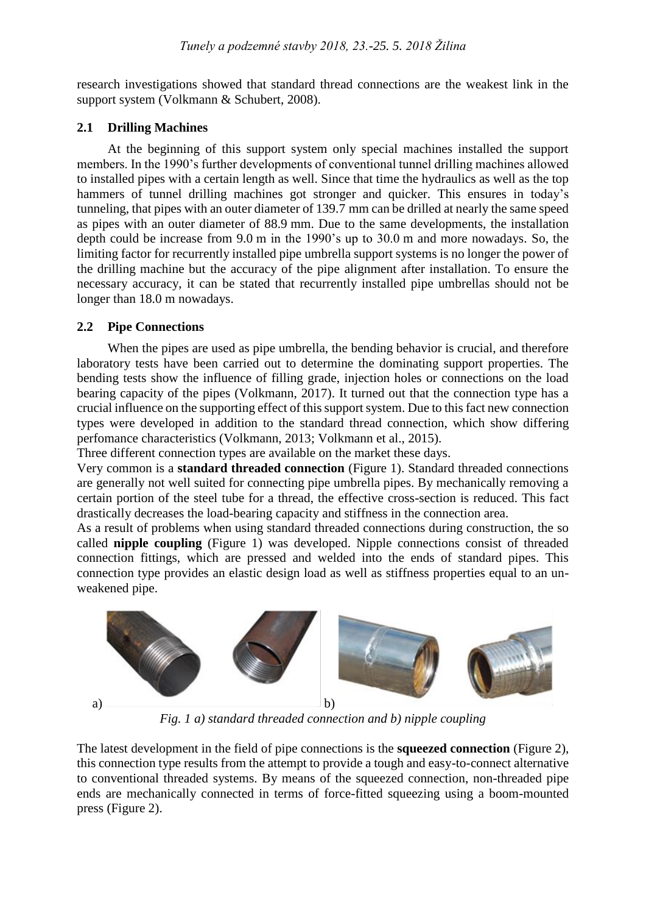research investigations showed that standard thread connections are the weakest link in the support system (Volkmann & Schubert, 2008).

# **2.1 Drilling Machines**

At the beginning of this support system only special machines installed the support members. In the 1990's further developments of conventional tunnel drilling machines allowed to installed pipes with a certain length as well. Since that time the hydraulics as well as the top hammers of tunnel drilling machines got stronger and quicker. This ensures in today's tunneling, that pipes with an outer diameter of 139.7 mm can be drilled at nearly the same speed as pipes with an outer diameter of 88.9 mm. Due to the same developments, the installation depth could be increase from 9.0 m in the 1990's up to 30.0 m and more nowadays. So, the limiting factor for recurrently installed pipe umbrella support systems is no longer the power of the drilling machine but the accuracy of the pipe alignment after installation. To ensure the necessary accuracy, it can be stated that recurrently installed pipe umbrellas should not be longer than 18.0 m nowadays.

# **2.2 Pipe Connections**

When the pipes are used as pipe umbrella, the bending behavior is crucial, and therefore laboratory tests have been carried out to determine the dominating support properties. The bending tests show the influence of filling grade, injection holes or connections on the load bearing capacity of the pipes (Volkmann, 2017). It turned out that the connection type has a crucial influence on the supporting effect of this support system. Due to this fact new connection types were developed in addition to the standard thread connection, which show differing perfomance characteristics (Volkmann, 2013; Volkmann et al., 2015).

Three different connection types are available on the market these days.

Very common is a **standard threaded connection** (Figure 1). Standard threaded connections are generally not well suited for connecting pipe umbrella pipes. By mechanically removing a certain portion of the steel tube for a thread, the effective cross-section is reduced. This fact drastically decreases the load-bearing capacity and stiffness in the connection area.

As a result of problems when using standard threaded connections during construction, the so called **nipple coupling** (Figure 1) was developed. Nipple connections consist of threaded connection fittings, which are pressed and welded into the ends of standard pipes. This connection type provides an elastic design load as well as stiffness properties equal to an unweakened pipe.



*Fig. 1 a) standard threaded connection and b) nipple coupling*

The latest development in the field of pipe connections is the **squeezed connection** (Figure 2), this connection type results from the attempt to provide a tough and easy-to-connect alternative to conventional threaded systems. By means of the squeezed connection, non-threaded pipe ends are mechanically connected in terms of force-fitted squeezing using a boom-mounted press (Figure 2).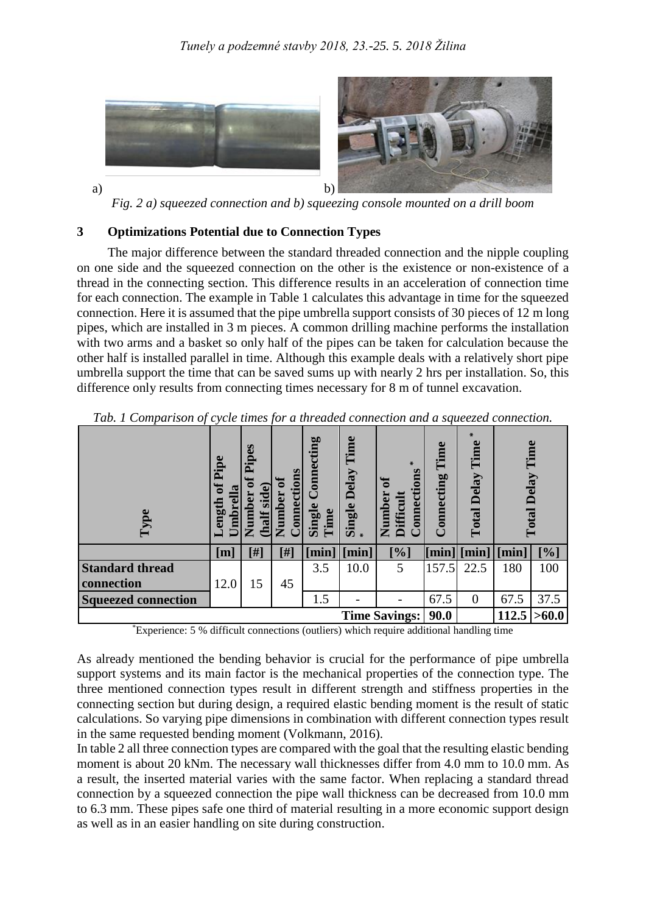

*Fig. 2 a) squeezed connection and b) squeezing console mounted on a drill boom*

#### **3 Optimizations Potential due to Connection Types**

The major difference between the standard threaded connection and the nipple coupling on one side and the squeezed connection on the other is the existence or non-existence of a thread in the connecting section. This difference results in an acceleration of connection time for each connection. The example in Table 1 calculates this advantage in time for the squeezed connection. Here it is assumed that the pipe umbrella support consists of 30 pieces of 12 m long pipes, which are installed in 3 m pieces. A common drilling machine performs the installation with two arms and a basket so only half of the pipes can be taken for calculation because the other half is installed parallel in time. Although this example deals with a relatively short pipe umbrella support the time that can be saved sums up with nearly 2 hrs per installation. So, this difference only results from connecting times necessary for 8 m of tunnel excavation.

| Type                       | $\omega$<br>Pip<br>eng<br>$\bullet$ | Pipes<br>$\omega$<br>Number<br>sid<br>half | onnection<br>Number | Connecting<br>Single<br>Time | Time<br>Delay<br>Single | $\ast$<br>ā<br>٥<br>onnecti<br><b>Difficul</b><br><u>Ga</u><br>Numl | Time<br>onnecting          | $\ast$<br>Time<br>Delay<br>Total | Time<br>Delay<br>Total     |       |
|----------------------------|-------------------------------------|--------------------------------------------|---------------------|------------------------------|-------------------------|---------------------------------------------------------------------|----------------------------|----------------------------------|----------------------------|-------|
|                            | [m]                                 | [#]                                        | [#]                 | [min]                        | [min]                   | [%]                                                                 | $\lceil \text{min} \rceil$ | [min]                            | $\lceil \text{min} \rceil$ | [%]   |
| <b>Standard thread</b>     |                                     |                                            |                     | 3.5                          | 10.0                    | 5                                                                   | 157.5                      | 22.5                             | 180                        | 100   |
| connection                 | 12.0                                | 15                                         | 45                  |                              |                         |                                                                     |                            |                                  |                            |       |
| <b>Squeezed connection</b> |                                     |                                            |                     | 1.5                          |                         |                                                                     | 67.5                       | 0                                | 67.5                       | 37.5  |
|                            |                                     |                                            |                     |                              |                         | <b>Time Savings:</b>                                                | 90.0                       |                                  | 112.5                      | >60.0 |

*Tab. 1 Comparison of cycle times for a threaded connection and a squeezed connection.*

\*Experience: 5 % difficult connections (outliers) which require additional handling time

As already mentioned the bending behavior is crucial for the performance of pipe umbrella support systems and its main factor is the mechanical properties of the connection type. The three mentioned connection types result in different strength and stiffness properties in the connecting section but during design, a required elastic bending moment is the result of static calculations. So varying pipe dimensions in combination with different connection types result in the same requested bending moment (Volkmann, 2016).

In table 2 all three connection types are compared with the goal that the resulting elastic bending moment is about 20 kNm. The necessary wall thicknesses differ from 4.0 mm to 10.0 mm. As a result, the inserted material varies with the same factor. When replacing a standard thread connection by a squeezed connection the pipe wall thickness can be decreased from 10.0 mm to 6.3 mm. These pipes safe one third of material resulting in a more economic support design as well as in an easier handling on site during construction.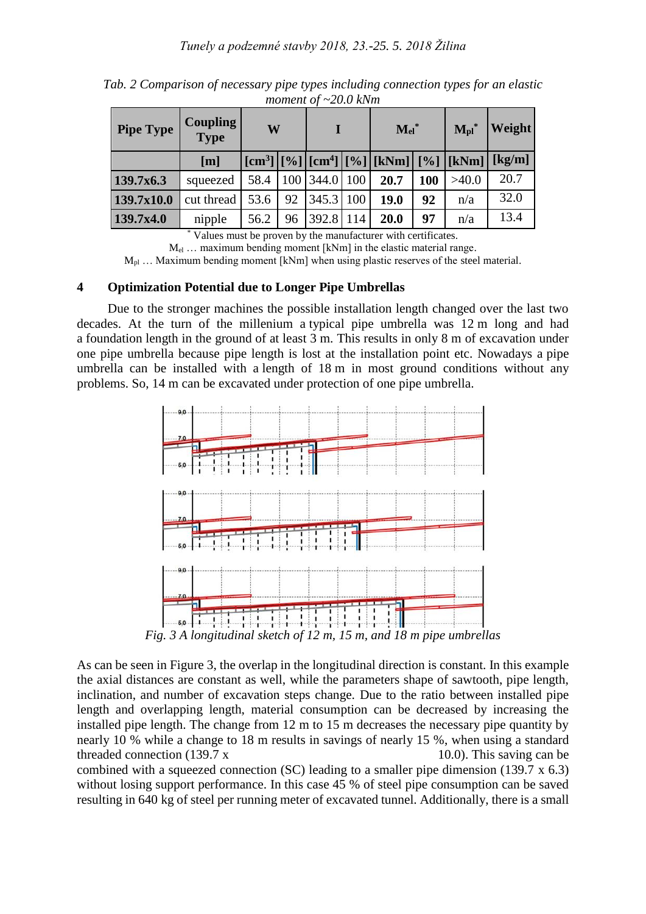| <b>Pipe Type</b> | <b>Coupling</b><br><b>Type</b> | W    |    | L         |                  | $\mathbf{Mel}^*$                                                              |     | $M_{\rm pl}$ * | Weight                                    |
|------------------|--------------------------------|------|----|-----------|------------------|-------------------------------------------------------------------------------|-----|----------------|-------------------------------------------|
|                  | [m]                            |      |    |           |                  | $[\text{cm}^3][\%][\text{cm}^4][\text{cm}^4][\%][\text{kNm}][\%][\text{kNm}]$ |     |                | $\left[\frac{\text{kg}}{\text{m}}\right]$ |
| 139.7x6.3        | squeezed                       | 58.4 |    | 100 344.0 | 100 <sup>1</sup> | 20.7                                                                          | 100 | >40.0          | 20.7                                      |
| 139.7x10.0       | cut thread                     | 53.6 | 92 | 345.3     | 100              | 19.0                                                                          | 92  | n/a            | 32.0                                      |
| 139.7x4.0        | nipple                         | 56.2 | 96 | 392.8     | 114              | 20.0                                                                          | 97  | n/a            | 13.4                                      |

*Tab. 2 Comparison of necessary pipe types including connection types for an elastic moment of ~20.0 kNm*

\* Values must be proven by the manufacturer with certificates.

Mel … maximum bending moment [kNm] in the elastic material range.

 $M_{pl}$  ... Maximum bending moment [kNm] when using plastic reserves of the steel material.

### **4 Optimization Potential due to Longer Pipe Umbrellas**

Due to the stronger machines the possible installation length changed over the last two decades. At the turn of the millenium a typical pipe umbrella was 12 m long and had a foundation length in the ground of at least 3 m. This results in only 8 m of excavation under one pipe umbrella because pipe length is lost at the installation point etc. Nowadays a pipe umbrella can be installed with a length of 18 m in most ground conditions without any problems. So, 14 m can be excavated under protection of one pipe umbrella.



As can be seen in Figure 3, the overlap in the longitudinal direction is constant. In this example the axial distances are constant as well, while the parameters shape of sawtooth, pipe length, inclination, and number of excavation steps change. Due to the ratio between installed pipe length and overlapping length, material consumption can be decreased by increasing the installed pipe length. The change from 12 m to 15 m decreases the necessary pipe quantity by nearly 10 % while a change to 18 m results in savings of nearly 15 %, when using a standard threaded connection  $(139.7 \times 10.0)$ . This saving can be combined with a squeezed connection (SC) leading to a smaller pipe dimension (139.7 x 6.3) without losing support performance. In this case 45 % of steel pipe consumption can be saved resulting in 640 kg of steel per running meter of excavated tunnel. Additionally, there is a small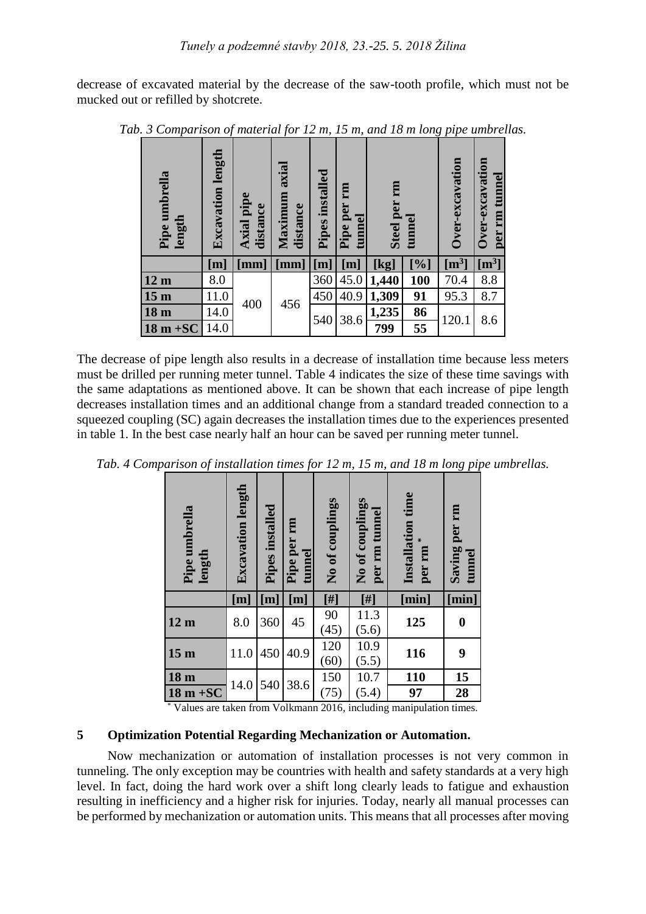decrease of excavated material by the decrease of the saw-tooth profile, which must not be mucked out or refilled by shotcrete.

| Pipe umbrella<br>length | <b>Excavation length</b> | Axial pipe<br>distance   | axial<br>Maximum<br>distance | Pipes installed   | m<br>Pipe per<br>tunnel | m<br><b>Steel per</b> | ಕಾ<br>tunn | Over-excavation  | Over-excavation<br>per rm tunnel |
|-------------------------|--------------------------|--------------------------|------------------------------|-------------------|-------------------------|-----------------------|------------|------------------|----------------------------------|
|                         | [m]                      | $\left[\text{mm}\right]$ | [mm]                         | $\lceil m \rceil$ | $[{\rm m}]$             | <u>[kg]</u>           | [%]        | $\mathrm{[m^3]}$ | $\mathrm{[m^{3}]}$               |
| 12 <sub>m</sub>         | 8.0                      | 400                      | 456                          | 360               | 45.0                    | 1,440                 | <b>100</b> | 70.4             | 8.8                              |
| 15 <sub>m</sub>         | 11.0                     |                          |                              | 450               | 40.9                    | 1,309                 | 91         | 95.3             | 8.7                              |
| 18 <sub>m</sub>         | 14.0                     |                          |                              | 540               | 38.6                    | 1,235                 | 86         |                  | 8.6                              |
| $18 m + SC$             | 14.0                     |                          |                              |                   |                         | 799                   | 55         | 120.1            |                                  |

*Tab. 3 Comparison of material for 12 m, 15 m, and 18 m long pipe umbrellas.*

The decrease of pipe length also results in a decrease of installation time because less meters must be drilled per running meter tunnel. Table 4 indicates the size of these time savings with the same adaptations as mentioned above. It can be shown that each increase of pipe length decreases installation times and an additional change from a standard treaded connection to a squeezed coupling (SC) again decreases the installation times due to the experiences presented in table 1. In the best case nearly half an hour can be saved per running meter tunnel.

| $\cdot$<br>Pipe umbrella<br>length | <b>Excavation length</b> | Pipes installed | $\boldsymbol{\mathsf{v}}$<br>Pipe per rm<br>tunnel | No of couplings | No of couplings<br>per rm tunnel | time<br>Installation<br>⋇<br>per rm | $\overline{a}$<br>Saving per rm<br>tunnel |
|------------------------------------|--------------------------|-----------------|----------------------------------------------------|-----------------|----------------------------------|-------------------------------------|-------------------------------------------|
|                                    | [m]                      | [m]             | $[{\rm m}]$                                        | [#]             |                                  | [min]                               | [min]                                     |
| 12 <sub>m</sub>                    | 8.0                      | 360             | 45                                                 | 90<br>(45)      | 11.3<br>(5.6)                    | 125                                 | $\boldsymbol{0}$                          |
| 15 <sub>m</sub>                    | 11.0                     | 450             | 40.9                                               | 120<br>(60)     | 10.9<br>(5.5)                    | 116                                 | 9                                         |
| 18 m                               |                          | 540             |                                                    | 150             | 10.7                             | 110                                 | 15                                        |
| $18 m + SC$                        | 14.0                     |                 | 38.6                                               | (75)            | (5.4)                            | 97                                  | 28                                        |

*Tab. 4 Comparison of installation times for 12 m, 15 m, and 18 m long pipe umbrellas.*

\* Values are taken from Volkmann 2016, including manipulation times.

#### **5 Optimization Potential Regarding Mechanization or Automation.**

Now mechanization or automation of installation processes is not very common in tunneling. The only exception may be countries with health and safety standards at a very high level. In fact, doing the hard work over a shift long clearly leads to fatigue and exhaustion resulting in inefficiency and a higher risk for injuries. Today, nearly all manual processes can be performed by mechanization or automation units. This means that all processes after moving